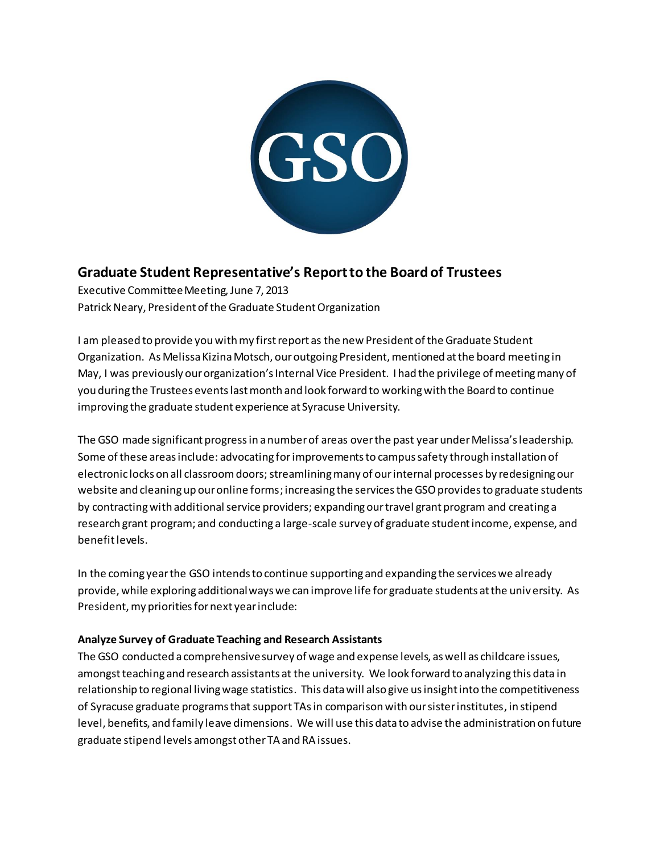

# **Graduate Student Representative's Report to the Board of Trustees**

Executive Committee Meeting, June 7, 2013 Patrick Neary, President of the Graduate Student Organization

I am pleased to provide you with my first report as the new President of the Graduate Student Organization. As Melissa Kizina Motsch, our outgoing President, mentioned at the board meeting in May, I was previously our organization's Internal Vice President. I had the privilege of meeting many of you during the Trustees events last month and look forward to working with the Board to continue improving the graduate student experience at Syracuse University.

The GSO made significant progress in a number of areas over the past year under Melissa's leadership. Some of these areas include: advocating forimprovements to campus safety through installation of electronic locks on all classroom doors; streamliningmany of our internal processes by redesigning our website and cleaning up our online forms; increasing the services the GSO provides to graduate students by contracting with additional service providers; expandingour travel grant program and creating a research grant program; and conducting a large-scale survey of graduate student income, expense, and benefit levels.

In the coming year the GSO intends to continue supporting and expanding the services we already provide, while exploring additional ways we can improve life for graduate students at the university. As President, my priorities for next year include:

# **Analyze Survey of Graduate Teaching and Research Assistants**

The GSO conducted a comprehensive survey of wage and expense levels, as well as childcare issues, amongst teaching and research assistants at the university. We look forward to analyzing this data in relationship to regional living wage statistics. This data will also give us insight into the competitiveness of Syracuse graduate programs that support TAs in comparison with our sister institutes, in stipend level, benefits, and family leave dimensions. We will use this data to advise the administration on future graduate stipend levels amongst other TA and RA issues.